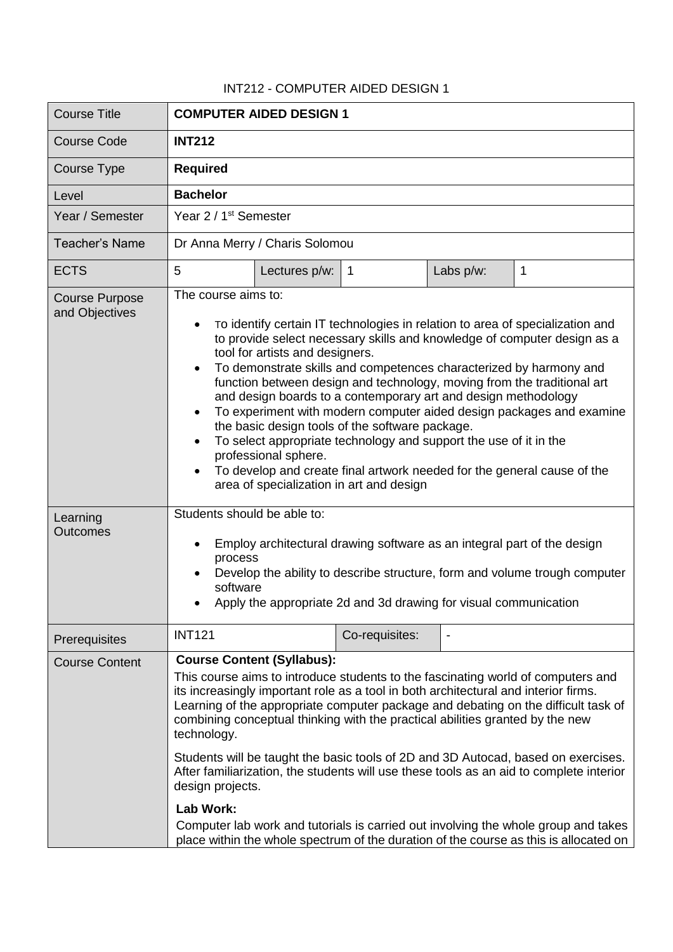## INT212 - COMPUTER AIDED DESIGN 1

| <b>Course Title</b>                     | <b>COMPUTER AIDED DESIGN 1</b>                                                                                                                                                                                                                                                                                                                                                                                                                                                                                                                                                                                                                                                                                                                                                                            |               |                |           |             |
|-----------------------------------------|-----------------------------------------------------------------------------------------------------------------------------------------------------------------------------------------------------------------------------------------------------------------------------------------------------------------------------------------------------------------------------------------------------------------------------------------------------------------------------------------------------------------------------------------------------------------------------------------------------------------------------------------------------------------------------------------------------------------------------------------------------------------------------------------------------------|---------------|----------------|-----------|-------------|
| <b>Course Code</b>                      | <b>INT212</b>                                                                                                                                                                                                                                                                                                                                                                                                                                                                                                                                                                                                                                                                                                                                                                                             |               |                |           |             |
| Course Type                             | <b>Required</b>                                                                                                                                                                                                                                                                                                                                                                                                                                                                                                                                                                                                                                                                                                                                                                                           |               |                |           |             |
| Level                                   | <b>Bachelor</b>                                                                                                                                                                                                                                                                                                                                                                                                                                                                                                                                                                                                                                                                                                                                                                                           |               |                |           |             |
| Year / Semester                         | Year 2 / 1 <sup>st</sup> Semester                                                                                                                                                                                                                                                                                                                                                                                                                                                                                                                                                                                                                                                                                                                                                                         |               |                |           |             |
| Teacher's Name                          | Dr Anna Merry / Charis Solomou                                                                                                                                                                                                                                                                                                                                                                                                                                                                                                                                                                                                                                                                                                                                                                            |               |                |           |             |
| <b>ECTS</b>                             | 5                                                                                                                                                                                                                                                                                                                                                                                                                                                                                                                                                                                                                                                                                                                                                                                                         | Lectures p/w: | $\mathbf{1}$   | Labs p/w: | $\mathbf 1$ |
| <b>Course Purpose</b><br>and Objectives | The course aims to:<br>To identify certain IT technologies in relation to area of specialization and<br>to provide select necessary skills and knowledge of computer design as a<br>tool for artists and designers.<br>To demonstrate skills and competences characterized by harmony and<br>function between design and technology, moving from the traditional art<br>and design boards to a contemporary art and design methodology<br>To experiment with modern computer aided design packages and examine<br>the basic design tools of the software package.<br>To select appropriate technology and support the use of it in the<br>professional sphere.<br>To develop and create final artwork needed for the general cause of the<br>area of specialization in art and design                     |               |                |           |             |
| Learning<br><b>Outcomes</b>             | Students should be able to:<br>Employ architectural drawing software as an integral part of the design<br>process<br>Develop the ability to describe structure, form and volume trough computer<br>software<br>Apply the appropriate 2d and 3d drawing for visual communication                                                                                                                                                                                                                                                                                                                                                                                                                                                                                                                           |               |                |           |             |
| Prerequisites                           | <b>INT121</b>                                                                                                                                                                                                                                                                                                                                                                                                                                                                                                                                                                                                                                                                                                                                                                                             |               | Co-requisites: |           |             |
| <b>Course Content</b>                   | <b>Course Content (Syllabus):</b><br>This course aims to introduce students to the fascinating world of computers and<br>its increasingly important role as a tool in both architectural and interior firms.<br>Learning of the appropriate computer package and debating on the difficult task of<br>combining conceptual thinking with the practical abilities granted by the new<br>technology.<br>Students will be taught the basic tools of 2D and 3D Autocad, based on exercises.<br>After familiarization, the students will use these tools as an aid to complete interior<br>design projects.<br><b>Lab Work:</b><br>Computer lab work and tutorials is carried out involving the whole group and takes<br>place within the whole spectrum of the duration of the course as this is allocated on |               |                |           |             |